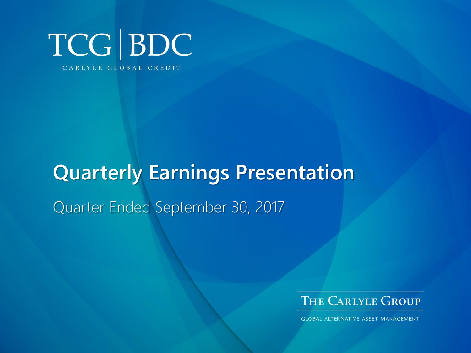

# **Quarterly Earnings Presentation**

Quarter Ended September 30, 2017



**GLOBAL ALTERNATIVE ASSET MANAGEMENT**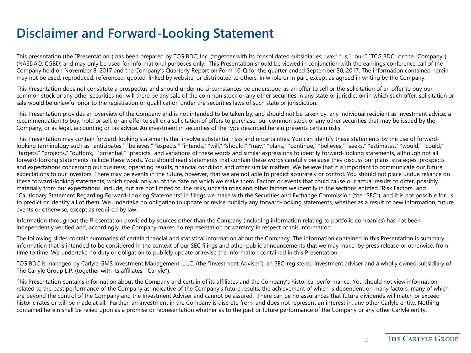#### **Disclaimer and Forward-Looking Statement**

This presentation (the "Presentation") has been prepared by TCG BDC, Inc. (together with its consolidated subsidiaries, "we," "us," "our," "TCG BDC" or the "Company") (NASDAQ: CGBD) and may only be used for informational purposes only. This Presentation should be viewed in conjunction with the earnings conference call of the Company held on November 8, 2017 and the Company's Quarterly Report on Form 10-Q for the quarter ended September 30, 2017. The information contained herein may not be used, reproduced, referenced, quoted, linked by website, or distributed to others, in whole or in part, except as agreed in writing by the Company.

This Presentation does not constitute a prospectus and should under no circumstances be understood as an offer to sell or the solicitation of an offer to buy our common stock or any other securities nor will there be any sale of the common stock or any other securities in any state or jurisdiction in which such offer, solicitation or sale would be unlawful prior to the registration or qualification under the securities laws of such state or jurisdiction.

This Presentation provides an overview of the Company and is not intended to be taken by, and should not be taken by, any individual recipient as investment advice, a recommendation to buy, hold or sell, or an offer to sell or a solicitation of offers to purchase, our common stock or any other securities that may be issued by the Company, or as legal, accounting or tax advice. An investment in securities of the type described herein presents certain risks.

This Presentation may contain forward-looking statements that involve substantial risks and uncertainties. You can identify these statements by the use of forwardlooking terminology such as "anticipates," "believes," "expects," "intends," "will," "should," "may," "plans," "continue," "believes," "seeks," "estimates," "would," "could," "targets," "projects," "outlook," "potential," "predicts" and variations of these words and similar expressions to identify forward-looking statements, although not all forward-looking statements include these words. You should read statements that contain these words carefully because they discuss our plans, strategies, prospects and expectations concerning our business, operating results, financial condition and other similar matters. We believe that it is important to communicate our future expectations to our investors. There may be events in the future, however, that we are not able to predict accurately or control. You should not place undue reliance on these forward-looking statements, which speak only as of the date on which we make them. Factors or events that could cause our actual results to differ, possibly materially from our expectations, include, but are not limited to, the risks, uncertainties and other factors we identify in the sections entitled "Risk Factors" and "Cautionary Statement Regarding Forward-Looking Statements" in filings we make with the Securities and Exchange Commission (the "SEC"), and it is not possible for us to predict or identify all of them. We undertake no obligation to update or revise publicly any forward-looking statements, whether as a result of new information, future events or otherwise, except as required by law.

Information throughout the Presentation provided by sources other than the Company (including information relating to portfolio companies) has not been independently verified and, accordingly, the Company makes no representation or warranty in respect of this information.

The following slides contain summaries of certain financial and statistical information about the Company. The information contained in this Presentation is summary information that is intended to be considered in the context of our SEC filings and other public announcements that we may make, by press release or otherwise, from time to time. We undertake no duty or obligation to publicly update or revise the information contained in this Presentation.

TCG BDC is managed by Carlyle GMS Investment Management L.L.C. (the "Investment Adviser"), an SEC-registered investment adviser and a wholly owned subsidiary of The Carlyle Group L.P. (together with its affiliates, "Carlyle").

This Presentation contains information about the Company and certain of its affiliates and the Company's historical performance. You should not view information related to the past performance of the Company as indicative of the Company's future results, the achievement of which is dependent on many factors, many of which are beyond the control of the Company and the Investment Adviser and cannot be assured. There can be no assurances that future dividends will match or exceed historic rates or will be made at all. Further, an investment in the Company is discrete from, and does not represent an interest in, any other Carlyle entity. Nothing contained herein shall be relied upon as a promise or representation whether as to the past or future performance of the Company or any other Carlyle entity.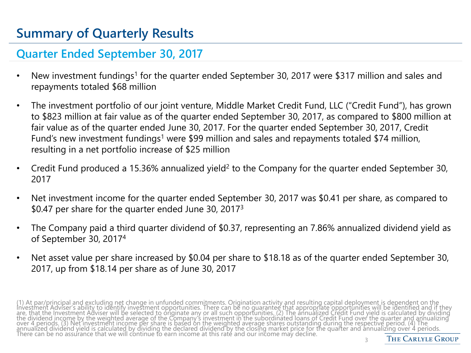### **Summary of Quarterly Results**

#### **Quarter Ended September 30, 2017**

- New investment fundings<sup>1</sup> for the quarter ended September 30, 2017 were \$317 million and sales and repayments totaled \$68 million
- The investment portfolio of our joint venture, Middle Market Credit Fund, LLC ("Credit Fund"), has grown to \$823 million at fair value as of the quarter ended September 30, 2017, as compared to \$800 million at fair value as of the quarter ended June 30, 2017. For the quarter ended September 30, 2017, Credit Fund's new investment fundings<sup>1</sup> were \$99 million and sales and repayments totaled \$74 million, resulting in a net portfolio increase of \$25 million
- Credit Fund produced a 15.36% annualized yield<sup>2</sup> to the Company for the quarter ended September 30, 2017
- Net investment income for the quarter ended September 30, 2017 was \$0.41 per share, as compared to \$0.47 per share for the quarter ended June 30, 2017<sup>3</sup>
- The Company paid a third quarter dividend of \$0.37, representing an 7.86% annualized dividend yield as of September 30, 2017<sup>4</sup>
- Net asset value per share increased by \$0.04 per share to \$18.18 as of the quarter ended September 30, 2017, up from \$18.14 per share as of June 30, 2017

(1) At par/principal and excluding net change in unfunded commitments. Origination activity and resulting capital deployment is dependent on the<br>Investment Adviser's ability to identify investment opportunities. There can are, that the Investment Adviser will be selected to originate any or all such opportunities. (2) The annualized Credit Fund yield is calculated by dividing<br>the dividend income by the weighted average of the Company's inve annualized dividend yield is calculated by dividing the declared dividend by the closing market price for the quarter and annualizing over 4 periods.<br>There can be no assurance that we will continue to earn income at this 3

**THE CARLYLE GROUP**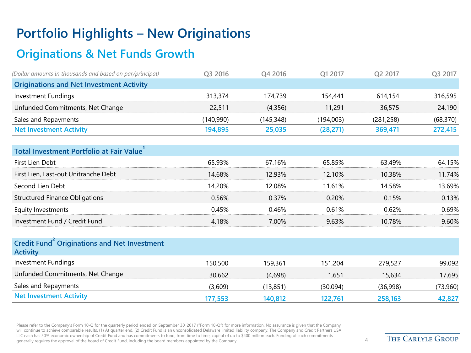### **Portfolio Highlights – New Originations**

#### **Originations & Net Funds Growth**

| (Dollar amounts in thousands and based on par/principal) | O3 2016   | O <sub>4</sub> 2016 | O1 2017   | O <sub>2</sub> 2017 | O <sub>3</sub> 2017 |
|----------------------------------------------------------|-----------|---------------------|-----------|---------------------|---------------------|
| <b>Originations and Net Investment Activity</b>          |           |                     |           |                     |                     |
| Investment Fundings                                      | 313,374   | 174,739             | 154.441   | 614.154             | 316,595             |
| Unfunded Commitments, Net Change                         | 22.511    | (4,356)             | 11,291    | 36,575              | 24,190              |
| Sales and Repayments                                     | (140,990) | (145, 348)          | (194,003) | (281, 258)          | (68, 370)           |
| <b>Net Investment Activity</b>                           | 194,895   | 25,035              | (28, 271) | 369,471             | 272,415             |
| Total Investment Portfolio at Fair Value                 |           |                     |           |                     |                     |
| First Lien Debt                                          | 65.93%    | 67.16%              | 65.85%    | 63.49%              | 64.15%              |

| First Lien, Last-out Unitranche Debt  | 14.68% | 12 ዓ3%   | 12.10% | 10.38% | 11.74% |
|---------------------------------------|--------|----------|--------|--------|--------|
| Second Lien Debt                      | 14.20% | 12.08%.  | 11.61% | 14.58% | 13.69% |
| <b>Structured Finance Obligations</b> | 0.56%  | $0.37\%$ | 0.20%  | 0.15%  | 0.13%  |
| Equity Investments                    | 045%   | 0.46%    | በ 61%  | በ 62%  | 0.69%  |
| Investment Fund / Credit Fund         | 4.18%  | 7.00%    | 9.63%  | 10.78% | 9.60%  |

| 150,500 | 159.361  | 151.204  | 279.527  | 99,092   |
|---------|----------|----------|----------|----------|
| 30.662  | (4.698)  | 1.651    | 15.634   | 17,695   |
| (3,609) | (13,851) | (30,094) | (36,998) | (73,960) |
| 177.553 | 140.812  | 122.761  | 258.163  | 42,827   |
|         |          |          |          |          |

Please refer to the Company's Form 10-Q for the quarterly period ended on September 30, 2017 ("Form 10-Q") for more information. No assurance is given that the Company will continue to achieve comparable results. (1) At quarter end. (2) Credit Fund is an unconsolidated Delaware limited liability company. The Company and Credit Partners USA LLC each has 50% economic ownership of Credit Fund and has commitments to fund, from time to time, capital of up to \$400 million each. Funding of such commitments generally requires the approval of the board of Credit Fund, including the board members appointed by the Company. 4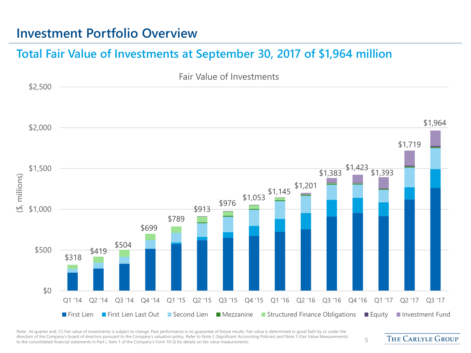#### **Investment Portfolio Overview**

#### **Total Fair Value of Investments at September 30, 2017 of \$1,964 million**



Note: At quarter end. (1) Fair value of investments is subject to change. Past performance is no quarantee of future results. Fair value is determined in good faith by or under the direction of the Company's board of directors pursuant to the Company's valuation policy. Refer to Note 2 (Significant Accounting Policies) and Note 3 (Fair Value Measurements) affection of the company's board of directors pursuant to the Company's Faluation policy. Refer to Note 2 (significant Accounting Policies) and Note 5 (Fair Value Measurements) 5

**THE CARLYLE GROUP**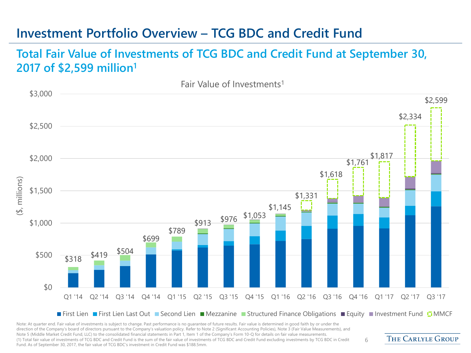#### **Investment Portfolio Overview – TCG BDC and Credit Fund**

#### **Total Fair Value of Investments of TCG BDC and Credit Fund at September 30, 2017 of \$2,599 million<sup>1</sup>**



Note: At quarter end. Fair value of investments is subject to change. Past performance is no quarantee of future results. Fair value is determined in good faith by or under the direction of the Company's board of directors pursuant to the Company's valuation policy. Refer to Note 2 (Significant Accounting Policies), Note 3 (Fair Value Measurements), and Note 5 (Middle Market Credit Fund, LLC) to the consolidated financial statements in Part 1, Item 1 of the Company's Form 10-Q for details on fair value measurements. (1) Total fair value of investments of TCG BDC and Credit Fund is the sum of the fair value of investments of TCG BDC and Credit Fund excluding investments by TCG BDC in Credit Fund. As of September 30, 2017, the fair value of TCG BDC's investment in Credit Fund was \$188.5mm.

THE CARLYLE GROUP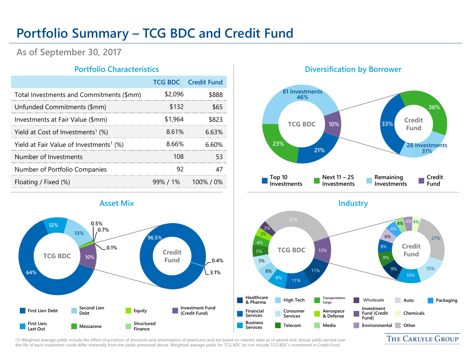#### **Portfolio Summary – TCG BDC and Credit Fund**

**As of September 30, 2017**

|                                                     |         | <b>TCG BDC</b> Credit Fund |
|-----------------------------------------------------|---------|----------------------------|
| Total Investments and Commitments (\$mm)            | \$2,096 | \$888                      |
| Unfunded Commitments (\$mm)                         | \$132   | \$65                       |
| Investments at Fair Value (\$mm)                    | \$1,964 | \$823                      |
| Yield at Cost of Investments <sup>1</sup> (%)       | 8.61%   | 663%                       |
| Yield at Fair Value of Investments <sup>1</sup> (%) | 8.66%   | 6 60%                      |
| Number of Investments                               | 108     | 53                         |
| Number of Portfolio Companies                       | 92      | 47                         |
| Floating / Fixed (%)                                |         | $99\%$ / 1% 100% / 0%      |

#### **64% 12% 13% 0.5% 0.7% 0.1% 96.5% 0.4% 3.1% 10% First Lien Debt First Lien, Last Out Second Lien Debt Mezzanine Equity Structured Finance Investment Fund (Credit Fund) TCG BDC COLLECTED Credit Fund**

#### **Portfolio Characteristics Diversification by Borrower**



(1) Weighted average yields include the effect of accretion of discounts and amortization of premiums and are based on interest rates as of period end. Actual yields earned over the life of each investment could differ materially from the yields presented above. Weighted average yields for TCG BDC do not include TCG BDC's investment in Credit Fund.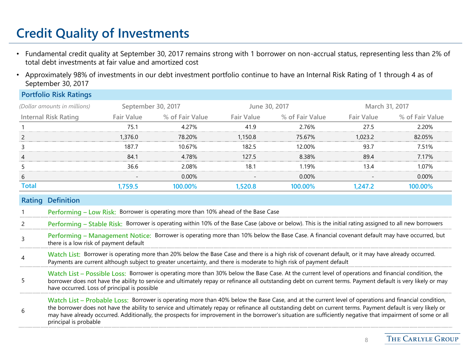## **Credit Quality of Investments**

**Portfolio Risk Ratings**

have occurred. Loss of principal is possible

- Fundamental credit quality at September 30, 2017 remains strong with 1 borrower on non-accrual status, representing less than 2% of total debt investments at fair value and amortized cost
- Approximately 98% of investments in our debt investment portfolio continue to have an Internal Risk Rating of 1 through 4 as of September 30, 2017

|              | Portfolio Risk Ratings                 |                    |                                                                                                                                                                                                                                                                           |                   |                                                                                                                                                              |                   |                 |
|--------------|----------------------------------------|--------------------|---------------------------------------------------------------------------------------------------------------------------------------------------------------------------------------------------------------------------------------------------------------------------|-------------------|--------------------------------------------------------------------------------------------------------------------------------------------------------------|-------------------|-----------------|
|              | (Dollar amounts in millions)           | September 30, 2017 |                                                                                                                                                                                                                                                                           | June 30, 2017     |                                                                                                                                                              | March 31, 2017    |                 |
|              | <b>Internal Risk Rating</b>            | <b>Fair Value</b>  | % of Fair Value                                                                                                                                                                                                                                                           | <b>Fair Value</b> | % of Fair Value                                                                                                                                              | <b>Fair Value</b> | % of Fair Value |
|              |                                        | 75.1               | 4.27%                                                                                                                                                                                                                                                                     | 41.9              | 2.76%                                                                                                                                                        | 27.5              | 2.20%           |
|              |                                        | 1,376.0            | 78.20%                                                                                                                                                                                                                                                                    | 1,150.8           | 75.67%                                                                                                                                                       | 1.023.2           | 82.05%          |
|              |                                        | 187.7              | 10.67%                                                                                                                                                                                                                                                                    | 182.5             | 12.00%                                                                                                                                                       | 93.7              | 7.51%           |
|              |                                        | 84.1               | 4.78%                                                                                                                                                                                                                                                                     | 127.5             | 8.38%                                                                                                                                                        | 89.4              | 7.17%           |
|              |                                        | 36.6               | 2.08%                                                                                                                                                                                                                                                                     | 18.1              | 1.19%                                                                                                                                                        | 13.4              | 1.07%           |
| 6            |                                        |                    | $0.00\%$                                                                                                                                                                                                                                                                  |                   | $0.00\%$                                                                                                                                                     |                   | $0.00\%$        |
| <b>Total</b> |                                        | 1,759.5            | 100.00%                                                                                                                                                                                                                                                                   | 1,520.8           | 100.00%                                                                                                                                                      | 1,247.2           | 100.00%         |
|              | <b>Rating Definition</b>               |                    |                                                                                                                                                                                                                                                                           |                   |                                                                                                                                                              |                   |                 |
|              |                                        |                    | Performing - Low Risk: Borrower is operating more than 10% ahead of the Base Case                                                                                                                                                                                         |                   |                                                                                                                                                              |                   |                 |
|              |                                        |                    | Performing - Stable Risk: Borrower is operating within 10% of the Base Case (above or below). This is the initial rating assigned to all new borrowers                                                                                                                    |                   |                                                                                                                                                              |                   |                 |
| 3            | there is a low risk of payment default |                    | Performing - Management Notice: Borrower is operating more than 10% below the Base Case. A financial covenant default may have occurred, but                                                                                                                              |                   |                                                                                                                                                              |                   |                 |
| 4            |                                        |                    | Watch List: Borrower is operating more than 20% below the Base Case and there is a high risk of covenant default, or it may have already occurred.<br>Payments are current although subject to greater uncertainty, and there is moderate to high risk of payment default |                   |                                                                                                                                                              |                   |                 |
|              |                                        |                    | Watch List - Possible Loss: Borrower is operating more than 30% below the Base Case. At the current level of operations and financial condition, the                                                                                                                      |                   | borrower does not have the ability to service and ultimately repay or refinance all outstanding debt on current terms. Payment default is very likely or may |                   |                 |

6 **Watch List – Probable Loss:** Borrower is operating more than 40% below the Base Case, and at the current level of operations and financial condition, the borrower does not have the ability to service and ultimately repay or refinance all outstanding debt on current terms. Payment default is very likely or may have already occurred. Additionally, the prospects for improvement in the borrower's situation are sufficiently negative that impairment of some or all principal is probable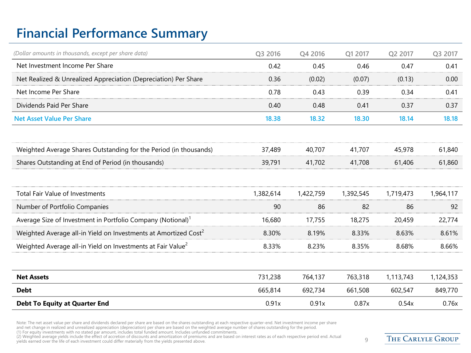### **Financial Performance Summary**

| (Dollar amounts in thousands, except per share data)                        | Q3 2016   | Q4 2016   | Q1 2017   | Q2 2017   | Q3 2017   |
|-----------------------------------------------------------------------------|-----------|-----------|-----------|-----------|-----------|
| Net Investment Income Per Share                                             | 0.42      | 0.45      | 0.46      | 0.47      | 0.41      |
| Net Realized & Unrealized Appreciation (Depreciation) Per Share             | 0.36      | (0.02)    | (0.07)    | (0.13)    | 0.00      |
| Net Income Per Share                                                        | 0.78      | 0.43      | 0.39      | 0.34      | 0.41      |
| Dividends Paid Per Share                                                    | 0.40      | 0.48      | 0.41      | 0.37      | 0.37      |
| <b>Net Asset Value Per Share</b>                                            | 18.38     | 18.32     | 18.30     | 18.14     | 18.18     |
| Weighted Average Shares Outstanding for the Period (in thousands)           | 37,489    | 40,707    | 41,707    | 45,978    | 61,840    |
| Shares Outstanding at End of Period (in thousands)                          | 39,791    | 41,702    | 41,708    | 61,406    | 61,860    |
| <b>Total Fair Value of Investments</b>                                      | 1,382,614 | 1,422,759 | 1,392,545 | 1,719,473 | 1,964,117 |
| Number of Portfolio Companies                                               | 90        | 86        | 82        | 86        | 92        |
| Average Size of Investment in Portfolio Company (Notional) <sup>1</sup>     | 16,680    | 17,755    | 18,275    | 20,459    | 22,774    |
| Weighted Average all-in Yield on Investments at Amortized Cost <sup>2</sup> | 8.30%     | 8.19%     | 8.33%     | 8.63%     | 8.61%     |
| Weighted Average all-in Yield on Investments at Fair Value <sup>2</sup>     | 8.33%     | 8.23%     | 8.35%     | 8.68%     | 8.66%     |
| <b>Net Assets</b>                                                           | 731,238   | 764,137   | 763,318   | 1,113,743 | 1,124,353 |
| <b>Debt</b>                                                                 | 665,814   | 692,734   | 661,508   | 602,547   | 849,770   |
| <b>Debt To Equity at Quarter End</b>                                        | 0.91x     | 0.91x     | 0.87x     | 0.54x     | 0.76x     |

Note: The net asset value per share and dividends declared per share are based on the shares outstanding at each respective quarter-end. Net investment income per share<br>and net change in realized and unrealized appreciatio

(2) Weighted average yields include the effect of accretion of discounts and amortization of premiums and are based on interest rates as of each respective period end. Actual and a Actual priod end. Actual and the vields e

THE CARLYLE GROUP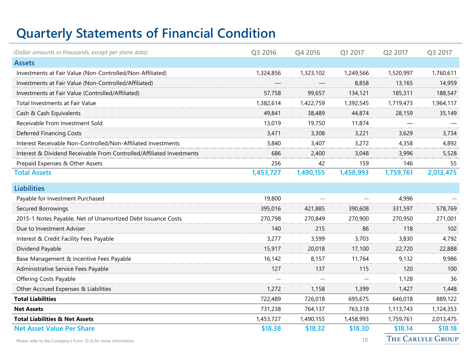### **Quarterly Statements of Financial Condition**

| (Dollar amounts in thousands, except per share data)                  | Q3 2016   | Q4 2016   | Q1 2017   | Q2 2017   | Q3 2017                  |
|-----------------------------------------------------------------------|-----------|-----------|-----------|-----------|--------------------------|
| <b>Assets</b>                                                         |           |           |           |           |                          |
| Investments at Fair Value (Non-Controlled/Non-Affiliated)             | 1,324,856 | 1,323,102 | 1,249,566 | 1,520,997 | 1,760,611                |
| Investments at Fair Value (Non-Controlled/Affiliated)                 |           |           | 8,858     | 13,165    | 14,959                   |
| Investments at Fair Value (Controlled/Affiliated)                     | 57,758    | 99,657    | 134,121   | 185,311   | 188,547                  |
| Total Investments at Fair Value                                       | 1,382,614 | 1,422,759 | 1,392,545 | 1,719,473 | 1,964,117                |
| Cash & Cash Equivalents                                               | 49,841    | 38,489    | 44,874    | 28,159    | 35,149                   |
| Receivable From Investment Sold                                       | 13,019    | 19,750    | 11,874    |           |                          |
| <b>Deferred Financing Costs</b>                                       | 3,471     | 3,308     | 3,221     | 3,629     | 3,734                    |
| Interest Receivable Non-Controlled/Non-Affiliated Investments         | 3,840     | 3,407     | 3,272     | 4,358     | 4,892                    |
| Interest & Dividend Receivable From Controlled/Affiliated Investments | 686       | 2,400     | 3,048     | 3,996     | 5,528                    |
| Prepaid Expenses & Other Assets                                       | 256       | 42        | 159       | 146       | 55                       |
| <b>Total Assets</b>                                                   | 1,453,727 | 1,490,155 | 1,458,993 | 1,759,761 | 2,013,475                |
| <b>Liabilities</b>                                                    |           |           |           |           |                          |
| Payable for Investment Purchased                                      | 19,800    |           |           | 4,996     |                          |
| Secured Borrowings                                                    | 395,016   | 421,885   | 390,608   | 331,597   | 578,769                  |
| 2015-1 Notes Payable, Net of Unamortized Debt Issuance Costs          | 270,798   | 270,849   | 270,900   | 270,950   | 271,001                  |
| Due to Investment Adviser                                             | 140       | 215       | 86        | 118       | 102                      |
| Interest & Credit Facility Fees Payable                               | 3,277     | 3,599     | 3,703     | 3,830     | 4,792                    |
| Dividend Payable                                                      | 15,917    | 20,018    | 17,100    | 22,720    | 22,888                   |
| Base Management & Incentive Fees Payable                              | 16,142    | 8,157     | 11,764    | 9.132     | 9,986                    |
| Administrative Service Fees Payable                                   | 127       | 137       | 115       | 120       | 100                      |
| <b>Offering Costs Payable</b>                                         |           |           |           | 1,128     | 36                       |
| Other Accrued Expenses & Liabilities                                  | 1,272     | 1,158     | 1,399     | 1,427     | 1,448                    |
| <b>Total Liabilities</b>                                              | 722,489   | 726,018   | 695,675   | 646,018   | 889,122                  |
| <b>Net Assets</b>                                                     | 731,238   | 764,137   | 763,318   | 1,113,743 | 1,124,353                |
| <b>Total Liabilities &amp; Net Assets</b>                             | 1,453,727 | 1,490,155 | 1,458,993 | 1,759,761 | 2,013,475                |
| <b>Net Asset Value Per Share</b>                                      | \$18.38   | \$18.32   | \$18.30   | \$18.14   | \$18.18                  |
| Please refer to the Company's Form 10-Q for more information.         |           |           | 10        |           | <b>THE CARLYLE GROUP</b> |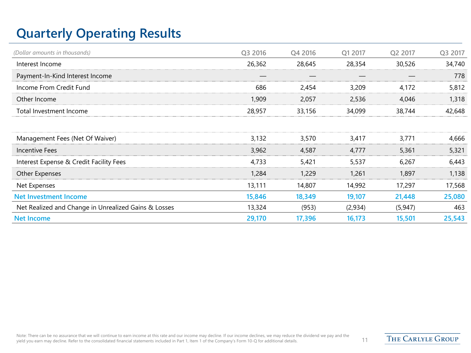### **Quarterly Operating Results**

| (Dollar amounts in thousands)                        | Q3 2016 | Q4 2016 | Q1 2017 | Q2 2017 | Q3 2017 |
|------------------------------------------------------|---------|---------|---------|---------|---------|
| Interest Income                                      | 26,362  | 28,645  | 28,354  | 30,526  | 34,740  |
| Payment-In-Kind Interest Income                      |         |         |         |         | 778     |
| Income From Credit Fund                              | 686     | 2,454   | 3,209   | 4,172   | 5,812   |
| Other Income                                         | 1,909   | 2,057   | 2,536   | 4,046   | 1,318   |
| Total Investment Income                              | 28,957  | 33,156  | 34,099  | 38,744  | 42,648  |
|                                                      |         |         |         |         |         |
| Management Fees (Net Of Waiver)                      | 3,132   | 3,570   | 3.417   | 3.771   | 4.666   |
| Incentive Fees                                       | 3,962   | 4,587   | 4,777   | 5,361   | 5,321   |
| Interest Expense & Credit Facility Fees              | 4.733   | 5,421   | 5,537   | 6,267   | 6,443   |
| Other Expenses                                       | 1,284   | 1,229   | 1,261   | 1,897   | 1,138   |
| Net Expenses                                         | 13,111  | 14,807  | 14,992  | 17,297  | 17,568  |
| <b>Net Investment Income</b>                         | 15,846  | 18,349  | 19,107  | 21,448  | 25,080  |
| Net Realized and Change in Unrealized Gains & Losses | 13,324  | (953)   | (2,934) | (5,947) | 463     |
| <b>Net Income</b>                                    | 29,170  | 17,396  | 16,173  | 15,501  | 25,543  |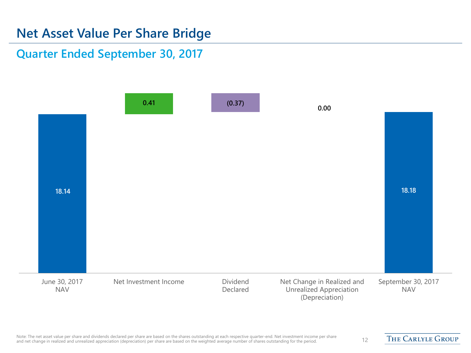#### **Net Asset Value Per Share Bridge**

**Quarter Ended September 30, 2017**



THE CARLYLE GROUP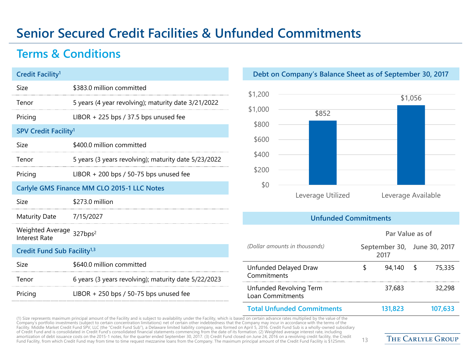#### **Senior Secured Credit Facilities & Unfunded Commitments**

#### **Terms & Conditions**

| Credit Facility <sup>1</sup>                                 |                                                      |
|--------------------------------------------------------------|------------------------------------------------------|
| Size                                                         | \$383.0 million committed                            |
| Tenor                                                        | 5 years (4 year revolving); maturity date 3/21/2022  |
| Pricing                                                      | LIBOR $+$ 225 bps / 37.5 bps unused fee              |
| <b>SPV Credit Facility<sup>1</sup></b>                       |                                                      |
| Size                                                         | \$400.0 million committed                            |
| Tenor                                                        | 5 years (3 years revolving); maturity date 5/23/2022 |
| Pricing                                                      | LIBOR $+$ 200 bps / 50-75 bps unused fee             |
|                                                              | Carlyle GMS Finance MM CLO 2015-1 LLC Notes          |
| Size                                                         | \$273.0 million                                      |
| Maturity Date                                                | 7/15/2027                                            |
| Weighted Average 327bps <sup>2</sup><br><b>Interest Rate</b> |                                                      |
| Credit Fund Sub Facility <sup>1,3</sup>                      |                                                      |
| Size                                                         | \$640.0 million committed                            |
| Tenor                                                        | 6 years (3 years revolving); maturity date 5/22/2023 |
| Pricing                                                      | LIBOR $+$ 250 bps / 50-75 bps unused fee             |

#### **Debt on Company's Balance Sheet as of September 30, 2017**



#### **Unfunded Commitments**

|                                             |   | Par Value as of                     |         |
|---------------------------------------------|---|-------------------------------------|---------|
| (Dollar amounts in thousands)               |   | September 30, June 30, 2017<br>2017 |         |
| Unfunded Delayed Draw<br>Commitments        | S | 94.140 \$                           | 75,335  |
| Unfunded Revolving Term<br>Loan Commitments |   | 37,683                              | 32,298  |
| <b>Total Unfunded Commitments</b>           |   | 131.823                             | 107,633 |

(1) Size represents maximum principal amount of the Facility and is subject to availability under the Facility, which is based on certain advance rates multiplied by the value of the Company's portfolio investments (subject to certain concentration limitations) net of certain other indebtedness that the Company may incur in accordance with the terms of the Facility. Middle Market Credit Fund SPV, LLC (the "Credit Fund Sub"), a Delaware limited liability company, was formed on April 5, 2016. Credit Fund Sub is a wholly-owned subsidiary of Credit Fund and is consolidated in Credit Fund's consolidated financial statements commencing from the date of its formation. (2) Weighted average interest rate, including amortization of debt issuance costs on the 2015-1 notes, for the quarter ended September 30, 2017. (3) Credit Fund closed on June 24, 2016 on a revolving credit facility, the Credit Fund Facility, from which Credit Fund may from time to time request mezzanine loans from the Company. The maximum principal amount of the Credit Fund Facility is \$125mm. 13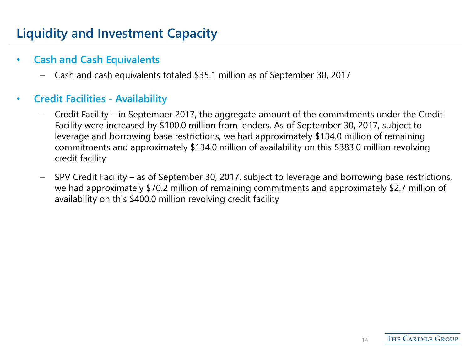### **Liquidity and Investment Capacity**

#### • **Cash and Cash Equivalents**

– Cash and cash equivalents totaled \$35.1 million as of September 30, 2017

#### • **Credit Facilities - Availability**

- Credit Facility in September 2017, the aggregate amount of the commitments under the Credit Facility were increased by \$100.0 million from lenders. As of September 30, 2017, subject to leverage and borrowing base restrictions, we had approximately \$134.0 million of remaining commitments and approximately \$134.0 million of availability on this \$383.0 million revolving credit facility
- SPV Credit Facility as of September 30, 2017, subject to leverage and borrowing base restrictions, we had approximately \$70.2 million of remaining commitments and approximately \$2.7 million of availability on this \$400.0 million revolving credit facility